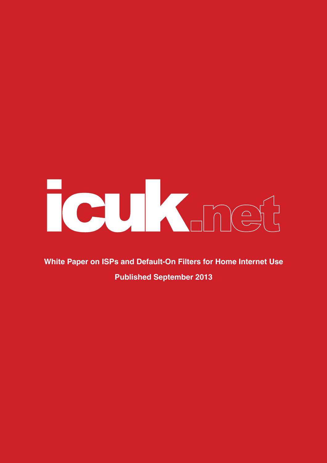# Tour Knock

**White Paper on ISPs and Default-On Filters for Home Internet Use Published September 2013**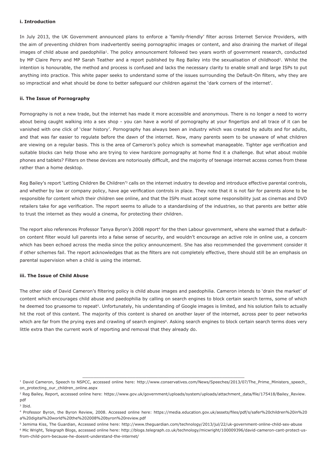# **i. Introduction**

In July 2013, the UK Government announced plans to enforce a 'family-friendly' filter across Internet Service Providers, with the aim of preventing children from inadvertently seeing pornographic images or content, and also draining the market of illegal images of child abuse and paedophilia<sup>1</sup>. The policy announcement followed two years worth of government research, conducted by MP Claire Perry and MP Sarah Teather and a report published by Reg Bailey into the sexualisation of childhood<sup>2</sup>. Whilst the intention is honourable, the method and process is confused and lacks the necessary clarity to enable small and large ISPs to put anything into practice. This white paper seeks to understand some of the issues surrounding the Default-On filters, why they are so impractical and what should be done to better safeguard our children against the 'dark corners of the internet'.

# **ii. The Issue of Pornography**

Pornography is not a new trade, but the internet has made it more accessible and anonymous. There is no longer a need to worry about being caught walking into a sex shop - you can have a world of pornography at your fingertips and all trace of it can be vanished with one click of 'clear history'. Pornography has always been an industry which was created by adults and for adults, and that was far easier to regulate before the dawn of the internet. Now, many parents seem to be unaware of what children are viewing on a regular basis. This is the area of Cameron's policy which is somewhat manageable. Tighter age verification and suitable blocks can help those who are trying to view hardcore pornography at home find it a challenge. But what about mobile phones and tablets? Filters on these devices are notoriously difficult, and the majority of teenage internet access comes from these rather than a home desktop.

Reg Bailey's report 'Letting Children Be Children'<sup>3</sup> calls on the internet industry to develop and introduce effective parental controls, and whether by law or company policy, have age verification controls in place. They note that it is not fair for parents alone to be responsible for content which their children see online, and that the ISPs must accept some responsibility just as cinemas and DVD retailers take for age verification. The report seems to allude to a standardising of the industries, so that parents are better able to trust the internet as they would a cinema, for protecting their children.

The report also references Professor Tanya Byron's 2008 report<sup>4</sup> for the then Labour government, where she warned that a defaulton content filter would lull parents into a false sense of security, and wouldn't encourage an active role in online use, a concern which has been echoed across the media since the policy announcement. She has also recommended the government consider it if other schemes fail. The report acknowledges that as the filters are not completely effective, there should still be an emphasis on parental supervision when a child is using the internet.

# **iii. The Issue of Child Abuse**

The other side of David Cameron's filtering policy is child abuse images and paedophilia. Cameron intends to 'drain the market' of content which encourages child abuse and paedophilia by calling on search engines to block certain search terms, some of which he deemed too gruesome to repeat<sup>5</sup>. Unfortunately, his understanding of Google images is limited, and his solution fails to actually hit the root of this content. The majority of this content is shared on another layer of the internet, across peer to peer networks which are far from the prying eyes and crawling of search engines<sup>6</sup>. Asking search engines to block certain search terms does very little extra than the current work of reporting and removal that they already do.

\_\_\_\_\_\_\_\_\_\_\_\_\_\_\_\_\_\_\_\_\_\_\_\_\_\_\_\_\_\_\_\_\_\_\_\_\_\_\_\_\_\_\_\_\_\_\_\_\_\_\_\_\_\_\_\_\_\_ <sup>1</sup> David Cameron, Speech to NSPCC, accessed online here: http://www.conservatives.com/News/Speeches/2013/07/The\_Prime\_Ministers\_speech\_ on\_protecting\_our\_children\_online.aspx

<sup>&</sup>lt;sup>2</sup> Reg Bailey, Report, accessed online here: https://www.gov.uk/government/uploads/system/uploads/attachment\_data/file/175418/Bailey\_Review. pdf

<sup>3</sup> Ibid.

<sup>4</sup> Professor Byron, the Byron Review, 2008. Accessed online here: https://media.education.gov.uk/assets/files/pdf/s/safer%20children%20in%20 a%20digital%20world%20the%202008%20byron%20review.pdf

<sup>5</sup> Jemima Kiss, The Guardian, Accessed online here: http://www.theguardian.com/technology/2013/jul/22/uk-government-online-child-sex-abuse 6 Mic Wright, Telegraph Blogs, accessed online here: http://blogs.telegraph.co.uk/technology/micwright/100009396/david-cameron-cant-protect-usfrom-child-porn-because-he-doesnt-understand-the-internet/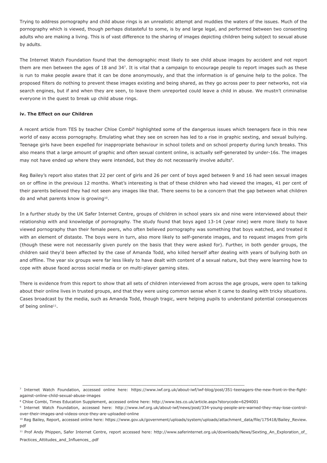Trying to address pornography and child abuse rings is an unrealistic attempt and muddies the waters of the issues. Much of the pornography which is viewed, though perhaps distasteful to some, is by and large legal, and performed between two consenting adults who are making a living. This is of vast difference to the sharing of images depicting children being subject to sexual abuse by adults.

The Internet Watch Foundation found that the demographic most likely to see child abuse images by accident and not report them are men between the ages of 18 and 347. It is vital that a campaign to encourage people to report images such as these is run to make people aware that it can be done anonymously, and that the information is of genuine help to the police. The proposed filters do nothing to prevent these images existing and being shared, as they go across peer to peer networks, not via search engines, but if and when they are seen, to leave them unreported could leave a child in abuse. We mustn't criminalise everyone in the quest to break up child abuse rings.

# **iv. The Effect on our Children**

A recent article from TES by teacher Chloe Combi<sup>8</sup> highlighted some of the dangerous issues which teenagers face in this new world of easy access pornography. Emulating what they see on screen has led to a rise in graphic sexting, and sexual bullying. Teenage girls have been expelled for inappropriate behaviour in school toilets and on school property during lunch breaks. This also means that a large amount of graphic and often sexual content online, is actually self-generated by under-16s. The images may not have ended up where they were intended, but they do not necessarily involve adults9.

Reg Bailey's report also states that 22 per cent of girls and 26 per cent of boys aged between 9 and 16 had seen sexual images on or offline in the previous 12 months. What's interesting is that of these children who had viewed the images, 41 per cent of their parents believed they had not seen any images like that. There seems to be a concern that the gap between what children do and what parents know is growing<sup>10</sup>.

In a further study by the UK Safer Internet Centre, groups of children in school years six and nine were interviewed about their relationship with and knowledge of pornography. The study found that boys aged 13-14 (year nine) were more likely to have viewed pornography than their female peers, who often believed pornography was something that boys watched, and treated it with an element of distaste. The boys were in turn, also more likely to self-generate images, and to request images from girls (though these were not necessarily given purely on the basis that they were asked for). Further, in both gender groups, the children said they'd been affected by the case of Amanda Todd, who killed herself after dealing with years of bullying both on and offline. The year six groups were far less likely to have dealt with content of a sexual nature, but they were learning how to cope with abuse faced across social media or on multi-player gaming sites.

There is evidence from this report to show that all sets of children interviewed from across the age groups, were open to talking about their online lives in trusted groups, and that they were using common sense when it came to dealing with tricky situations. Cases broadcast by the media, such as Amanda Todd, though tragic, were helping pupils to understand potential consequences of being online<sup>11</sup>.

 $\overline{\phantom{a}}$  , and the contribution of the contribution of the contribution of the contribution of the contribution of the contribution of the contribution of the contribution of the contribution of the contribution of the 7 Internet Watch Foundation, accessed online here: https://www.iwf.org.uk/about-iwf/iwf-blog/post/351-teenagers-the-new-front-in-the-fightagainst-online-child-sexual-abuse-images

<sup>8</sup> Chloe Combi, Times Education Supplement, accessed online here: http://www.tes.co.uk/article.aspx?storycode=6294001

<sup>9</sup> Internet Watch Foundation, accessed here: http://www.iwf.org.uk/about-iwf/news/post/334-young-people-are-warned-they-may-lose-controlover-their-images-and-videos-once-they-are-uploaded-online

<sup>&</sup>lt;sup>10</sup> Reg Bailey, Report, accessed online here: https://www.gov.uk/government/uploads/system/uploads/attachment\_data/file/175418/Bailey\_Review. pdf

<sup>&</sup>lt;sup>11</sup> Prof Andy Phippen, Safer Internet Centre, report accessed here: http://www.saferinternet.org.uk/downloads/News/Sexting\_An\_Exploration\_of Practices\_Attitudes\_and\_Influences\_.pdf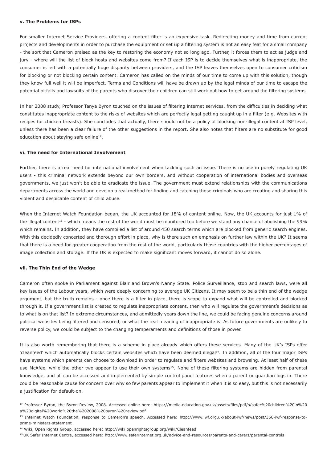## **v. The Problems for ISPs**

For smaller Internet Service Providers, offering a content filter is an expensive task. Redirecting money and time from current projects and developments in order to purchase the equipment or set up a filtering system is not an easy feat for a small company - the sort that Cameron praised as the key to restoring the economy not so long ago. Further, it forces them to act as judge and jury - where will the list of block hosts and websites come from? If each ISP is to decide themselves what is inappropriate, the consumer is left with a potentially huge disparity between providers, and the ISP leaves themselves open to consumer criticism for blocking or not blocking certain content. Cameron has called on the minds of our time to come up with this solution, though they know full well it will be imperfect. Terms and Conditions will have be drawn up by the legal minds of our time to escape the potential pitfalls and lawsuits of the parents who discover their children can still work out how to get around the filtering systems.

In her 2008 study, Professor Tanya Byron touched on the issues of filtering internet services, from the difficulties in deciding what constitutes inappropriate content to the risks of websites which are perfectly legal getting caught up in a filter (e.g. Websites with recipes for chicken breasts). She concludes that actually, there should not be a policy of blocking non-illegal content at ISP level, unless there has been a clear failure of the other suggestions in the report. She also notes that filters are no substitute for good education about staying safe online<sup>12</sup>.

## **vi. The need for International Involvement**

Further, there is a real need for international involvement when tackling such an issue. There is no use in purely regulating UK users - this criminal network extends beyond our own borders, and without cooperation of international bodies and overseas governments, we just won't be able to eradicate the issue. The government must extend relationships with the communications departments across the world and develop a real method for finding and catching those criminals who are creating and sharing this violent and despicable content of child abuse.

When the Internet Watch Foundation began, the UK accounted for 18% of content online. Now, the UK accounts for just 1% of the illegal content<sup>13</sup> - which means the rest of the world must be monitored too before we stand any chance of abolishing the 99% which remains. In addition, they have compiled a list of around 450 search terms which are blocked from generic search engines. With this decidedly concerted and thorough effort in place, why is there such an emphasis on further law within the UK? It seems that there is a need for greater cooperation from the rest of the world, particularly those countries with the higher percentages of image collection and storage. If the UK is expected to make significant moves forward, it cannot do so alone.

#### **vii. The Thin End of the Wedge**

Cameron often spoke in Parliament against Blair and Brown's Nanny State. Police Surveillance, stop and search laws, were all key issues of the Labour years, which were deeply concerning to average UK Citizens. It may seem to be a thin end of the wedge argument, but the truth remains - once there is a filter in place, there is scope to expand what will be controlled and blocked through it. If a government list is created to regulate inappropriate content, then who will regulate the government's decisions as to what is on that list? In extreme circumstances, and admittedly years down the line, we could be facing genuine concerns around political websites being filtered and censored, or what the real meaning of inappropriate is. As future governments are unlikely to reverse policy, we could be subject to the changing temperaments and definitions of those in power.

It is also worth remembering that there is a scheme in place already which offers these services. Many of the UK's ISPs offer 'cleanfeed' which automatically blocks certain websites which have been deemed illegal<sup>14</sup>. In addition, all of the four major ISPs have systems which parents can choose to download in order to regulate and filters websites and browsing. At least half of these use McAfee, while the other two appear to use their own systems<sup>15</sup>. None of these filtering systems are hidden from parental knowledge, and all can be accessed and implemented by simple control panel features when a parent or guardian logs in. There could be reasonable cause for concern over why so few parents appear to implement it when it is so easy, but this is not necessarily a justification for default-on.

15 UK Safer Internet Centre, accessed here: http://www.saferinternet.org.uk/advice-and-resources/parents-and-carers/parental-controls

\_\_\_\_\_\_\_\_\_\_\_\_\_\_\_\_\_\_\_\_\_\_\_\_\_\_\_\_\_\_\_\_\_\_\_\_\_\_\_\_\_\_\_\_\_\_\_\_\_\_\_\_\_\_\_\_\_\_ <sup>12</sup> Professor Byron, the Byron Review, 2008. Accessed online here: https://media.education.gov.uk/assets/files/pdf/s/safer%20children%20in%20 a%20digital%20world%20the%202008%20byron%20review.pdf

<sup>13</sup> Internet Watch Foundation, response to Cameron's speech. Accessed here: http://www.iwf.org.uk/about-iwf/news/post/366-iwf-response-toprime-ministers-statement

<sup>14</sup> Wiki, Open Rights Group, accessed here: http://wiki.openrightsgroup.org/wiki/Cleanfeed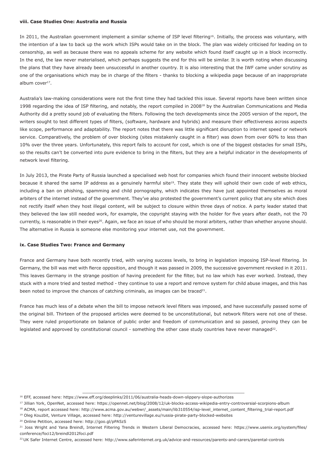## **viii. Case Studies One: Australia and Russia**

In 2011, the Australian government implement a similar scheme of ISP level filtering<sup>16</sup>. Initially, the process was voluntary, with the intention of a law to back up the work which ISPs would take on in the block. The plan was widely criticised for leading on to censorship, as well as because there was no appeals scheme for any website which found itself caught up in a block incorrectly. In the end, the law never materialised, which perhaps suggests the end for this will be similar. It is worth noting when discussing the plans that they have already been unsuccessful in another country. It is also interesting that the IWF came under scrutiny as one of the organisations which may be in charge of the filters - thanks to blocking a wikipedia page because of an inappropriate album cover $17$ .

Australia's law-making considerations were not the first time they had tackled this issue. Several reports have been written since 1998 regarding the idea of ISP filtering, and notably, the report compiled in 200818 by the Australian Communications and Media Authority did a pretty sound job of evaluating the filters. Following the tech developments since the 2005 version of the report, the writers sought to test different types of filters, (software, hardware and hybrids) and measure their effectiveness across aspects like scope, performance and adaptability. The report notes that there was little significant disruption to internet speed or network service. Comparatively, the problem of over blocking (sites mistakenly caught in a filter) was down from over 60% to less than 10% over the three years. Unfortunately, this report fails to account for cost, which is one of the biggest obstacles for small ISPs, so the results can't be converted into pure evidence to bring in the filters, but they are a helpful indicator in the developments of network level filtering.

In July 2013, the Pirate Party of Russia launched a specialised web host for companies which found their innocent website blocked because it shared the same IP address as a genuinely harmful site<sup>19</sup>. They state they will uphold their own code of web ethics, including a ban on phishing, spamming and child pornography, which indicates they have just appointed themselves as moral arbiters of the internet instead of the government. They've also protested the government's current policy that any site which does not rectify itself when they host illegal content, will be subject to closure within three days of notice. A party leader stated that they believed the law still needed work, for example, the copyright staying with the holder for five years after death, not the 70 currently, is reasonable in their eyes<sup>20</sup>. Again, we face an issue of who should be moral arbiters, rather than whether anyone should. The alternative in Russia is someone else monitoring your internet use, not the government.

#### **ix. Case Studies Two: France and Germany**

France and Germany have both recently tried, with varying success levels, to bring in legislation imposing ISP-level filtering. In Germany, the bill was met with fierce opposition, and though it was passed in 2009, the successive government revoked in it 2011. This leaves Germany in the strange position of having precedent for the filter, but no law which has ever worked. Instead, they stuck with a more tried and tested method - they continue to use a report and remove system for child abuse images, and this has been noted to improve the chances of catching criminals, as images can be traced $21$ .

France has much less of a debate when the bill to impose network level filters was imposed, and have successfully passed some of the original bill. Thirteen of the proposed articles were deemed to be unconstitutional, but network filters were not one of these. They were ruled proportionate on balance of public order and freedom of communication and so passed, proving they can be legislated and approved by constitutional council - something the other case study countries have never managed<sup>22</sup>.

19 Oleg Kouzbit, Venture Village, accessed here: http://venturevillage.eu/russia-pirate-party-blocked-websites

<sup>20</sup> Online Petition, accessed here: http://goo.gl/pPA5zS

 $\overline{\phantom{a}}$  , and the contribution of the contribution of the contribution of the contribution of the contribution of the contribution of the contribution of the contribution of the contribution of the contribution of the

22 UK Safer Internet Centre, accessed here: http://www.saferinternet.org.uk/advice-and-resources/parents-and-carers/parental-controls

<sup>16</sup> EFF, accessed here: https://www.eff.org/deeplinks/2011/06/australia-heads-down-slippery-slope-authorizes

<sup>17</sup> Jillian York, OpenNet, accessed here: https://opennet.net/blog/2008/12/uk-blocks-access-wikipedia-entry-controversial-scorpions-album

<sup>18</sup> ACMA, report accessed here: http://www.acma.gov.au/webwr/\_assets/main/lib310554/isp-level\_internet\_content\_filtering\_trial-report.pdf

<sup>&</sup>lt;sup>21</sup> Joss Wright and Yana Breindl, Internet Filtering Trends in Western Liberal Democracies, accessed here: https://www.usenix.org/system/files/ conference/foci12/breindl2012foci.pdf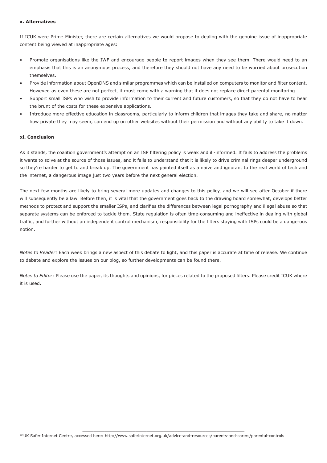# **x. Alternatives**

If ICUK were Prime Minister, there are certain alternatives we would propose to dealing with the genuine issue of inappropriate content being viewed at inappropriate ages:

- Promote organisations like the IWF and encourage people to report images when they see them. There would need to an emphasis that this is an anonymous process, and therefore they should not have any need to be worried about prosecution themselves.
- Provide information about OpenDNS and similar programmes which can be installed on computers to monitor and filter content. However, as even these are not perfect, it must come with a warning that it does not replace direct parental monitoring.
- Support small ISPs who wish to provide information to their current and future customers, so that they do not have to bear the brunt of the costs for these expensive applications.
- Introduce more effective education in classrooms, particularly to inform children that images they take and share, no matter how private they may seem, can end up on other websites without their permission and without any ability to take it down.

# **xi. Conclusion**

As it stands, the coalition government's attempt on an ISP filtering policy is weak and ill-informed. It fails to address the problems it wants to solve at the source of those issues, and it fails to understand that it is likely to drive criminal rings deeper underground so they're harder to get to and break up. The government has painted itself as a naive and ignorant to the real world of tech and the internet, a dangerous image just two years before the next general election.

The next few months are likely to bring several more updates and changes to this policy, and we will see after October if there will subsequently be a law. Before then, it is vital that the government goes back to the drawing board somewhat, develops better methods to protect and support the smaller ISPs, and clarifies the differences between legal pornography and illegal abuse so that separate systems can be enforced to tackle them. State regulation is often time-consuming and ineffective in dealing with global traffic, and further without an independent control mechanism, responsibility for the filters staying with ISPs could be a dangerous notion.

*Notes to Reader:* Each week brings a new aspect of this debate to light, and this paper is accurate at time of release. We continue to debate and explore the issues on our blog, so further developments can be found there.

*Notes to Editor:* Please use the paper, its thoughts and opinions, for pieces related to the proposed filters. Please credit ICUK where it is used.

 $\overline{\phantom{a}}$  , and the contribution of the contribution of the contribution of the contribution of the contribution of the contribution of the contribution of the contribution of the contribution of the contribution of the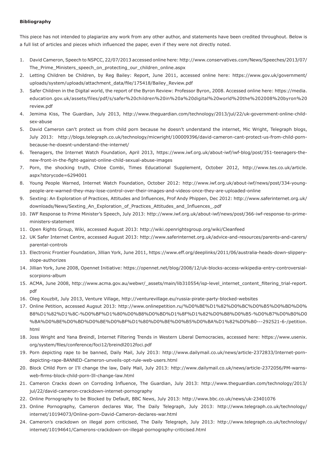# **Bibliography**

This piece has not intended to plagiarize any work from any other author, and statements have been credited throughout. Below is a full list of articles and pieces which influenced the paper, even if they were not directly noted.

- 1. David Cameron, Speech to NSPCC, 22/07/2013 accessed online here: http://www.conservatives.com/News/Speeches/2013/07/ The\_Prime\_Ministers\_speech\_on\_protecting\_our\_children\_online.aspx
- 2. Letting Children be Children, by Reg Bailey: Report, June 2011, accessed online here: https://www.gov.uk/government/ uploads/system/uploads/attachment\_data/file/175418/Bailey\_Review.pdf
- 3. Safer Children in the Digital world, the report of the Byron Review: Professor Byron, 2008. Accessed online here: https://media. education.gov.uk/assets/files/pdf/s/safer%20children%20in%20a%20digital%20world%20the%202008%20byron%20 review.pdf
- 4. Jemima Kiss, The Guardian, July 2013, http://www.theguardian.com/technology/2013/jul/22/uk-government-online-childsex-abuse
- 5. David Cameron can't protect us from child porn because he doesn't understand the internet, Mic Wright, Telegraph blogs, July 2013: http://blogs.telegraph.co.uk/technology/micwright/100009396/david-cameron-cant-protect-us-from-child-pornbecause-he-doesnt-understand-the-internet/
- 6. Teenagers, the Internet Watch Foundation, April 2013, https://www.iwf.org.uk/about-iwf/iwf-blog/post/351-teenagers-thenew-front-in-the-fight-against-online-child-sexual-abuse-images
- 7. Porn, the shocking truth, Chloe Combi, Times Educational Supplement, October 2012, http://www.tes.co.uk/article. aspx?storycode=6294001
- 8. Young People Warned, Internet Watch Foundation, October 2012: http://www.iwf.org.uk/about-iwf/news/post/334-youngpeople-are-warned-they-may-lose-control-over-their-images-and-videos-once-they-are-uploaded-online
- 9. Sexting: An Exploration of Practices, Attitudes and Influences, Prof Andy Phippen, Dec 2012: http://www.saferinternet.org.uk/ downloads/News/Sexting\_An\_Exploration\_of\_Practices\_Attitudes\_and\_Influences\_.pdf
- 10. IWF Response to Prime Minister's Speech, July 2013: http://www.iwf.org.uk/about-iwf/news/post/366-iwf-response-to-primeministers-statement
- 11. Open Rights Group, Wiki, accessed August 2013: http://wiki.openrightsgroup.org/wiki/Cleanfeed
- 12. UK Safer Internet Centre, accessed August 2013: http://www.saferinternet.org.uk/advice-and-resources/parents-and-carers/ parental-controls
- 13. Electronic Frontier Foundation, Jillian York, June 2011, https://www.eff.org/deeplinks/2011/06/australia-heads-down-slipperyslope-authorizes
- 14. Jillian York, June 2008, Opennet Initiative: https://opennet.net/blog/2008/12/uk-blocks-access-wikipedia-entry-controversialscorpions-album
- 15. ACMA, June 2008, http://www.acma.gov.au/webwr/\_assets/main/lib310554/isp-level\_internet\_content\_filtering\_trial-report. pdf
- 16. Oleg Kouzbit, July 2013, Venture Village, http://venturevillage.eu/russia-pirate-party-blocked-websites
- 17. Online Petition, accessed Augsut 2013: http://www.onlinepetition.ru/%D0%BE%D1%82%D0%BC%D0%B5%D0%BD%D0% B8%D1%82%D1%8C-%D0%BF%D1%80%D0%B8%D0%BD%D1%8F%D1%82%D0%B8%D0%B5-%D0%B7%D0%B0%D0 %BA%D0%BE%D0%BD%D0%BE%D0%BF%D1%80%D0%BE%D0%B5%D0%BA%D1%82%D0%B0---292521-6-/petition. html
- 18. Joss Wright and Yana Breindl, Internet Filtering Trends in Western Liberal Democracies, accessed here: https://www.usenix. org/system/files/conference/foci12/breindl2012foci.pdf
- 19. Porn depicting rape to be banned, Daily Mail, July 2013: http://www.dailymail.co.uk/news/article-2372833/Internet-porndepicting-rape-BANNED-Cameron-unveils-opt-rule-web-users.html
- 20. Block CHild Porn or I'll change the law, Daily Mail, July 2013: http://www.dailymail.co.uk/news/article-2372056/PM-warnsweb-firms-block-child-porn-Ill-change-law.html
- 21. Cameron Cracks down on Corroding Influence, The Guardian, July 2013: http://www.theguardian.com/technology/2013/ jul/22/david-cameron-crackdown-internet-pornography
- 22. Online Pornography to be Blocked by Default, BBC News, July 2013: http://www.bbc.co.uk/news/uk-23401076
- 23. Online Pornography, Cameron declares War, The Daily Telegraph, July 2013: http://www.telegraph.co.uk/technology/ internet/10194073/Online-porn-David-Cameron-declares-war.html
- 24. Cameron's crackdown on illegal porn criticised, The Daily Telegraph, July 2013: http://www.telegraph.co.uk/technology/ internet/10194641/Camerons-crackdown-on-illegal-pornography-criticised.html